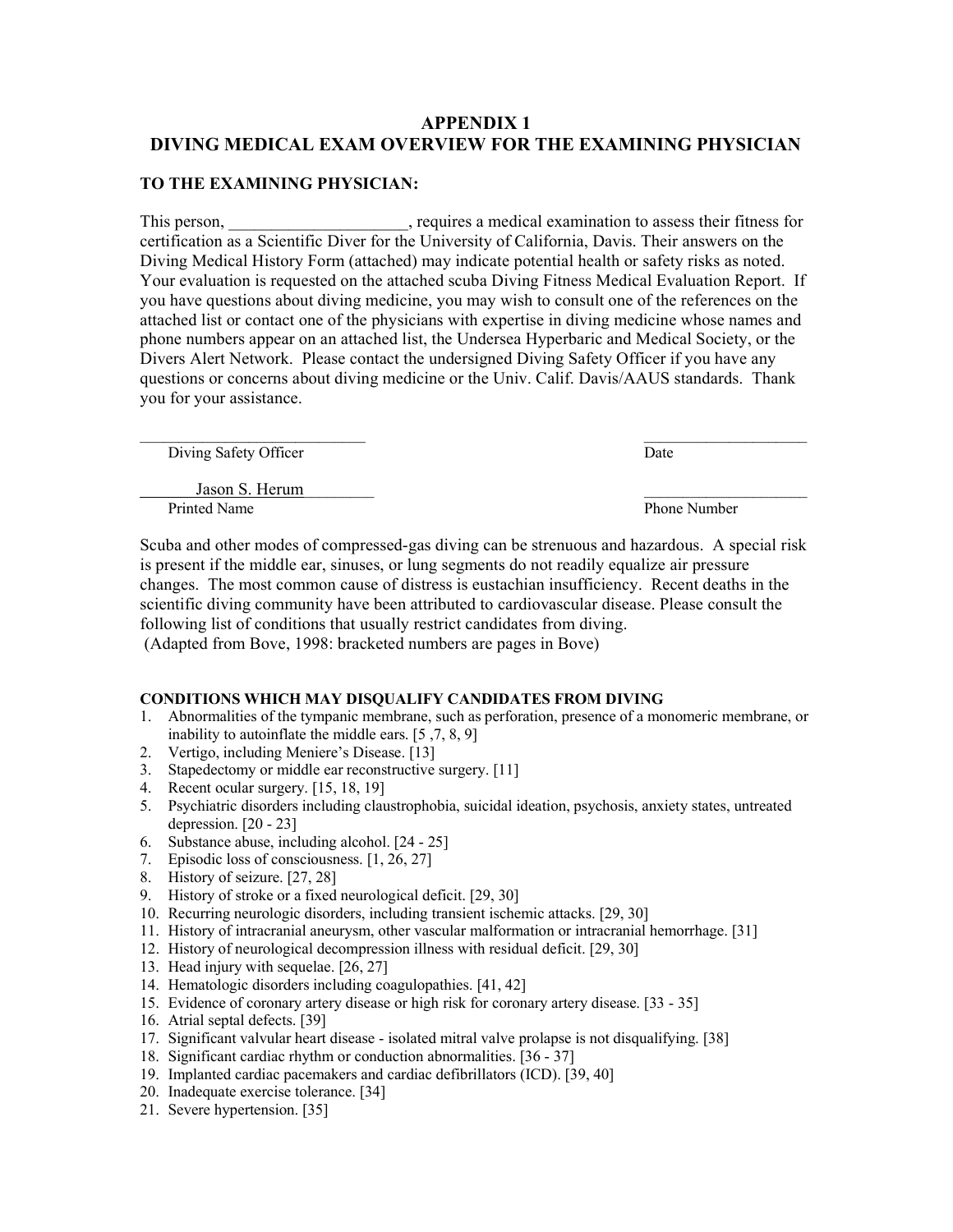# APPENDIX 1 DIVING MEDICAL EXAM OVERVIEW FOR THE EXAMINING PHYSICIAN

### TO THE EXAMINING PHYSICIAN:

This person, \_\_\_\_\_\_\_\_\_\_\_\_\_\_\_\_\_\_\_\_, requires a medical examination to assess their fitness for certification as a Scientific Diver for the University of California, Davis. Their answers on the Diving Medical History Form (attached) may indicate potential health or safety risks as noted. Your evaluation is requested on the attached scuba Diving Fitness Medical Evaluation Report. If you have questions about diving medicine, you may wish to consult one of the references on the attached list or contact one of the physicians with expertise in diving medicine whose names and phone numbers appear on an attached list, the Undersea Hyperbaric and Medical Society, or the Divers Alert Network. Please contact the undersigned Diving Safety Officer if you have any questions or concerns about diving medicine or the Univ. Calif. Davis/AAUS standards. Thank you for your assistance.

| Diving Safety Officer          | Date                |
|--------------------------------|---------------------|
| Jason S. Herum<br>Printed Name | <b>Phone Number</b> |
|                                |                     |

Scuba and other modes of compressed-gas diving can be strenuous and hazardous. A special risk is present if the middle ear, sinuses, or lung segments do not readily equalize air pressure changes. The most common cause of distress is eustachian insufficiency. Recent deaths in the scientific diving community have been attributed to cardiovascular disease. Please consult the following list of conditions that usually restrict candidates from diving. (Adapted from Bove, 1998: bracketed numbers are pages in Bove)

### CONDITIONS WHICH MAY DISQUALIFY CANDIDATES FROM DIVING

- 1. Abnormalities of the tympanic membrane, such as perforation, presence of a monomeric membrane, or inability to autoinflate the middle ears. [5 ,7, 8, 9]
- 2. Vertigo, including Meniere's Disease. [13]
- 3. Stapedectomy or middle ear reconstructive surgery. [11]
- 4. Recent ocular surgery. [15, 18, 19]
- 5. Psychiatric disorders including claustrophobia, suicidal ideation, psychosis, anxiety states, untreated depression. [20 - 23]
- 6. Substance abuse, including alcohol. [24 25]
- 7. Episodic loss of consciousness. [1, 26, 27]
- 8. History of seizure. [27, 28]
- 9. History of stroke or a fixed neurological deficit. [29, 30]
- 10. Recurring neurologic disorders, including transient ischemic attacks. [29, 30]
- 11. History of intracranial aneurysm, other vascular malformation or intracranial hemorrhage. [31]
- 12. History of neurological decompression illness with residual deficit. [29, 30]
- 13. Head injury with sequelae. [26, 27]
- 14. Hematologic disorders including coagulopathies. [41, 42]
- 15. Evidence of coronary artery disease or high risk for coronary artery disease. [33 35]
- 16. Atrial septal defects. [39]
- 17. Significant valvular heart disease isolated mitral valve prolapse is not disqualifying. [38]
- 18. Significant cardiac rhythm or conduction abnormalities. [36 37]
- 19. Implanted cardiac pacemakers and cardiac defibrillators (ICD). [39, 40]
- 20. Inadequate exercise tolerance. [34]
- 21. Severe hypertension. [35]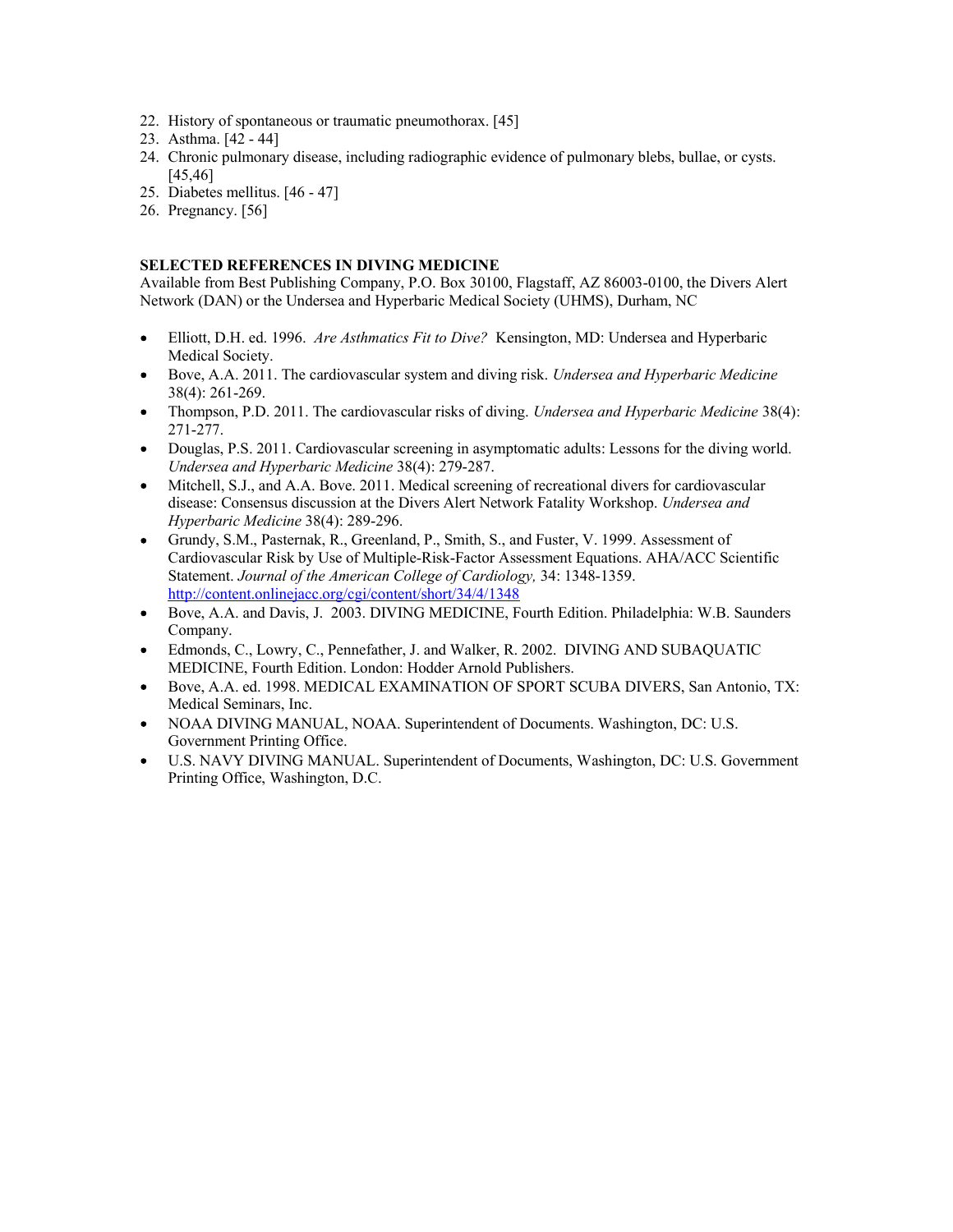- 22. History of spontaneous or traumatic pneumothorax. [45]
- 23. Asthma. [42 44]
- 24. Chronic pulmonary disease, including radiographic evidence of pulmonary blebs, bullae, or cysts. [45,46]
- 25. Diabetes mellitus. [46 47]
- 26. Pregnancy. [56]

#### SELECTED REFERENCES IN DIVING MEDICINE

Available from Best Publishing Company, P.O. Box 30100, Flagstaff, AZ 86003-0100, the Divers Alert Network (DAN) or the Undersea and Hyperbaric Medical Society (UHMS), Durham, NC

- Elliott, D.H. ed. 1996. Are Asthmatics Fit to Dive? Kensington, MD: Undersea and Hyperbaric  $\bullet$ Medical Society.
- Bove, A.A. 2011. The cardiovascular system and diving risk. Undersea and Hyperbaric Medicine 38(4): 261-269.
- Thompson, P.D. 2011. The cardiovascular risks of diving. Undersea and Hyperbaric Medicine 38(4):  $\bullet$ 271-277.
- Douglas, P.S. 2011. Cardiovascular screening in asymptomatic adults: Lessons for the diving world. Undersea and Hyperbaric Medicine 38(4): 279-287.
- Mitchell, S.J., and A.A. Bove. 2011. Medical screening of recreational divers for cardiovascular  $\bullet$ disease: Consensus discussion at the Divers Alert Network Fatality Workshop. Undersea and Hyperbaric Medicine 38(4): 289-296.
- Grundy, S.M., Pasternak, R., Greenland, P., Smith, S., and Fuster, V. 1999. Assessment of Cardiovascular Risk by Use of Multiple-Risk-Factor Assessment Equations. AHA/ACC Scientific Statement. Journal of the American College of Cardiology, 34: 1348-1359. http://content.onlinejacc.org/cgi/content/short/34/4/1348
- $\bullet$ Bove, A.A. and Davis, J. 2003. DIVING MEDICINE, Fourth Edition. Philadelphia: W.B. Saunders Company.
- Edmonds, C., Lowry, C., Pennefather, J. and Walker, R. 2002. DIVING AND SUBAQUATIC MEDICINE, Fourth Edition. London: Hodder Arnold Publishers.
- Bove, A.A. ed. 1998. MEDICAL EXAMINATION OF SPORT SCUBA DIVERS, San Antonio, TX:  $\bullet$ Medical Seminars, Inc.
- NOAA DIVING MANUAL, NOAA. Superintendent of Documents. Washington, DC: U.S. Government Printing Office.
- U.S. NAVY DIVING MANUAL. Superintendent of Documents, Washington, DC: U.S. Government Printing Office, Washington, D.C.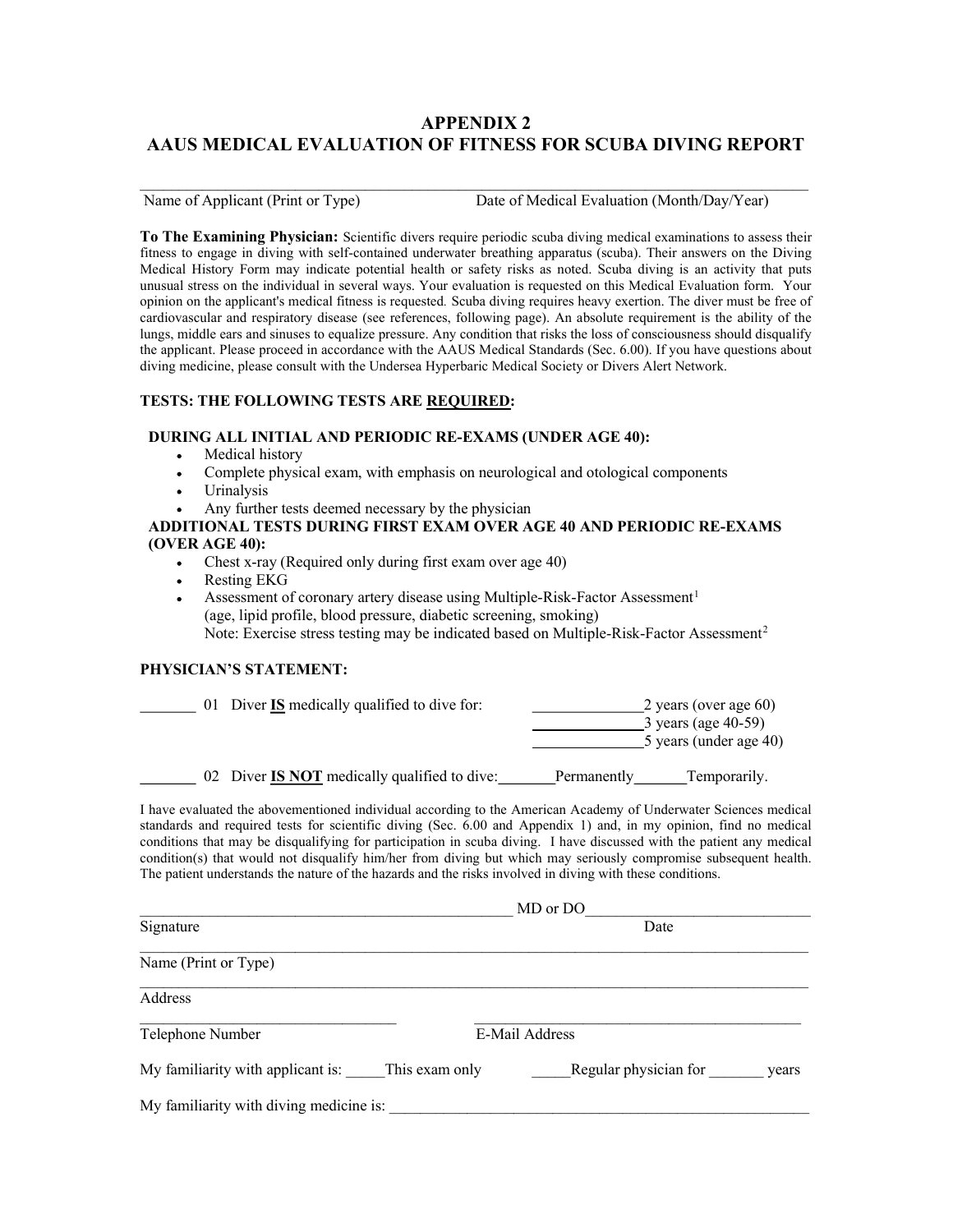# APPENDIX 2 AAUS MEDICAL EVALUATION OF FITNESS FOR SCUBA DIVING REPORT

 $\mathcal{L}_\mathcal{L} = \{ \mathcal{L}_\mathcal{L} = \{ \mathcal{L}_\mathcal{L} = \{ \mathcal{L}_\mathcal{L} = \{ \mathcal{L}_\mathcal{L} = \{ \mathcal{L}_\mathcal{L} = \{ \mathcal{L}_\mathcal{L} = \{ \mathcal{L}_\mathcal{L} = \{ \mathcal{L}_\mathcal{L} = \{ \mathcal{L}_\mathcal{L} = \{ \mathcal{L}_\mathcal{L} = \{ \mathcal{L}_\mathcal{L} = \{ \mathcal{L}_\mathcal{L} = \{ \mathcal{L}_\mathcal{L} = \{ \mathcal{L}_\mathcal{$ 

Name of Applicant (Print or Type) Date of Medical Evaluation (Month/Day/Year)

To The Examining Physician: Scientific divers require periodic scuba diving medical examinations to assess their fitness to engage in diving with self-contained underwater breathing apparatus (scuba). Their answers on the Diving Medical History Form may indicate potential health or safety risks as noted. Scuba diving is an activity that puts unusual stress on the individual in several ways. Your evaluation is requested on this Medical Evaluation form. Your opinion on the applicant's medical fitness is requested. Scuba diving requires heavy exertion. The diver must be free of cardiovascular and respiratory disease (see references, following page). An absolute requirement is the ability of the lungs, middle ears and sinuses to equalize pressure. Any condition that risks the loss of consciousness should disqualify the applicant. Please proceed in accordance with the AAUS Medical Standards (Sec. 6.00). If you have questions about diving medicine, please consult with the Undersea Hyperbaric Medical Society or Divers Alert Network.

### TESTS: THE FOLLOWING TESTS ARE REQUIRED:

### DURING ALL INITIAL AND PERIODIC RE-EXAMS (UNDER AGE 40):

- Medical history
- Complete physical exam, with emphasis on neurological and otological components
- Urinalysis
- Any further tests deemed necessary by the physician

### ADDITIONAL TESTS DURING FIRST EXAM OVER AGE 40 AND PERIODIC RE-EXAMS (OVER AGE 40):

- Chest x-ray (Required only during first exam over age 40)
- Resting EKG
- Assessment of coronary artery disease using Multiple-Risk-Factor Assessment<sup>1</sup> (age, lipid profile, blood pressure, diabetic screening, smoking) Note: Exercise stress testing may be indicated based on Multiple-Risk-Factor Assessment<sup>2</sup>

#### PHYSICIAN'S STATEMENT:

| 01 Diver IS medically qualified to dive for:        | 2 years (over age $60$ )<br>$3$ years (age 40-59)<br>5 years (under age 40) |
|-----------------------------------------------------|-----------------------------------------------------------------------------|
| 02 Diver <b>IS NOT</b> medically qualified to dive: | Temporarily.<br>Permanently                                                 |

I have evaluated the abovementioned individual according to the American Academy of Underwater Sciences medical standards and required tests for scientific diving (Sec. 6.00 and Appendix 1) and, in my opinion, find no medical conditions that may be disqualifying for participation in scuba diving. I have discussed with the patient any medical condition(s) that would not disqualify him/her from diving but which may seriously compromise subsequent health. The patient understands the nature of the hazards and the risks involved in diving with these conditions.

|                                         |                | MD or DO              |       |
|-----------------------------------------|----------------|-----------------------|-------|
| Signature                               |                | Date                  |       |
| Name (Print or Type)                    |                |                       |       |
| Address                                 |                |                       |       |
| Telephone Number                        |                | E-Mail Address        |       |
| My familiarity with applicant is:       | This exam only | Regular physician for | years |
| My familiarity with diving medicine is: |                |                       |       |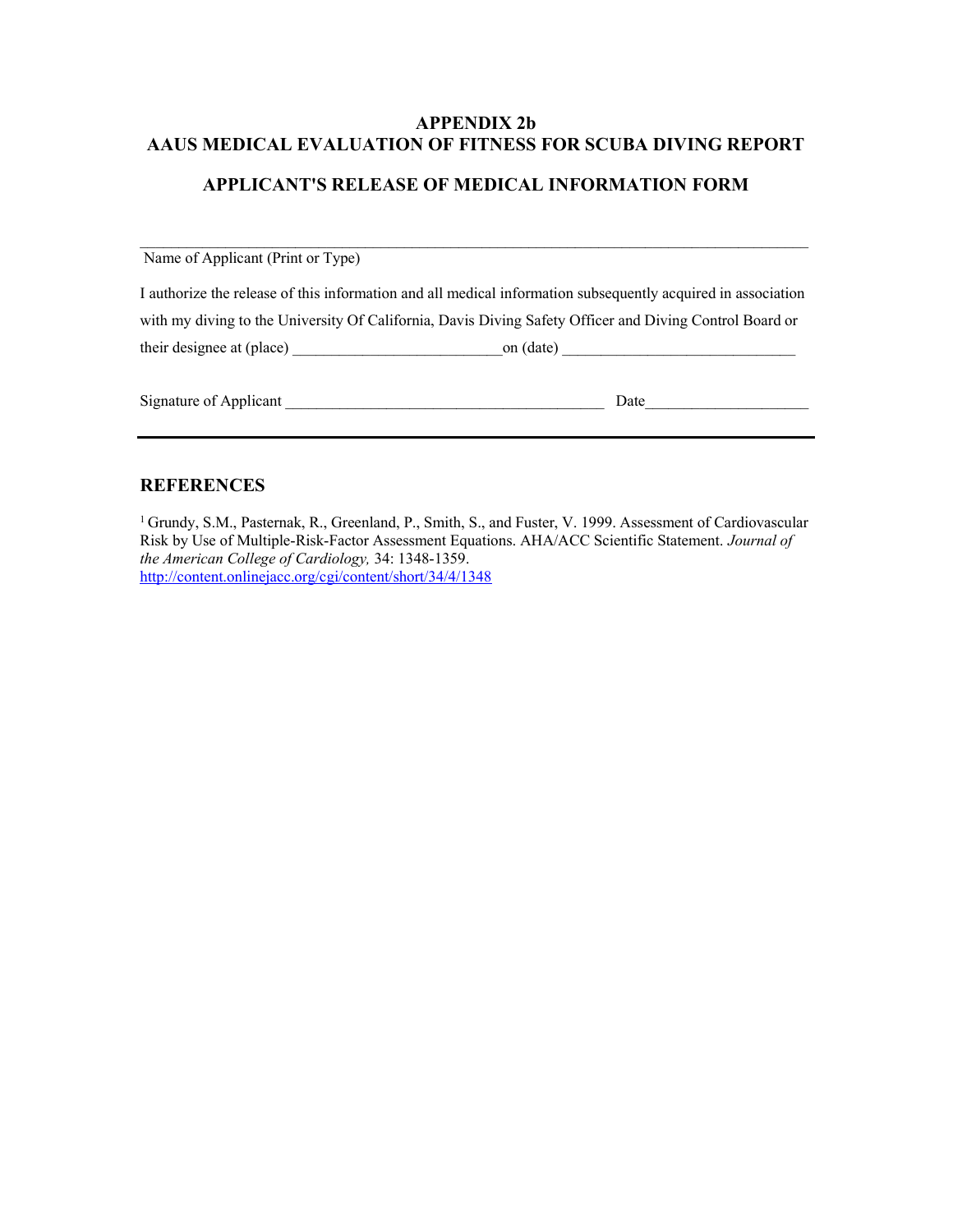## APPENDIX 2b AAUS MEDICAL EVALUATION OF FITNESS FOR SCUBA DIVING REPORT

## APPLICANT'S RELEASE OF MEDICAL INFORMATION FORM

 $\mathcal{L}_\mathcal{L} = \{ \mathcal{L}_\mathcal{L} = \{ \mathcal{L}_\mathcal{L} = \{ \mathcal{L}_\mathcal{L} = \{ \mathcal{L}_\mathcal{L} = \{ \mathcal{L}_\mathcal{L} = \{ \mathcal{L}_\mathcal{L} = \{ \mathcal{L}_\mathcal{L} = \{ \mathcal{L}_\mathcal{L} = \{ \mathcal{L}_\mathcal{L} = \{ \mathcal{L}_\mathcal{L} = \{ \mathcal{L}_\mathcal{L} = \{ \mathcal{L}_\mathcal{L} = \{ \mathcal{L}_\mathcal{L} = \{ \mathcal{L}_\mathcal{$ 

 Name of Applicant (Print or Type) I authorize the release of this information and all medical information subsequently acquired in association with my diving to the University Of California, Davis Diving Safety Officer and Diving Control Board or their designee at (place) on (date)

| $\sim$<br>Signature of Applicant<br>. . | raic |
|-----------------------------------------|------|
|                                         |      |

### **REFERENCES**

<sup>1</sup> Grundy, S.M., Pasternak, R., Greenland, P., Smith, S., and Fuster, V. 1999. Assessment of Cardiovascular Risk by Use of Multiple-Risk-Factor Assessment Equations. AHA/ACC Scientific Statement. Journal of the American College of Cardiology, 34: 1348-1359. http://content.onlinejacc.org/cgi/content/short/34/4/1348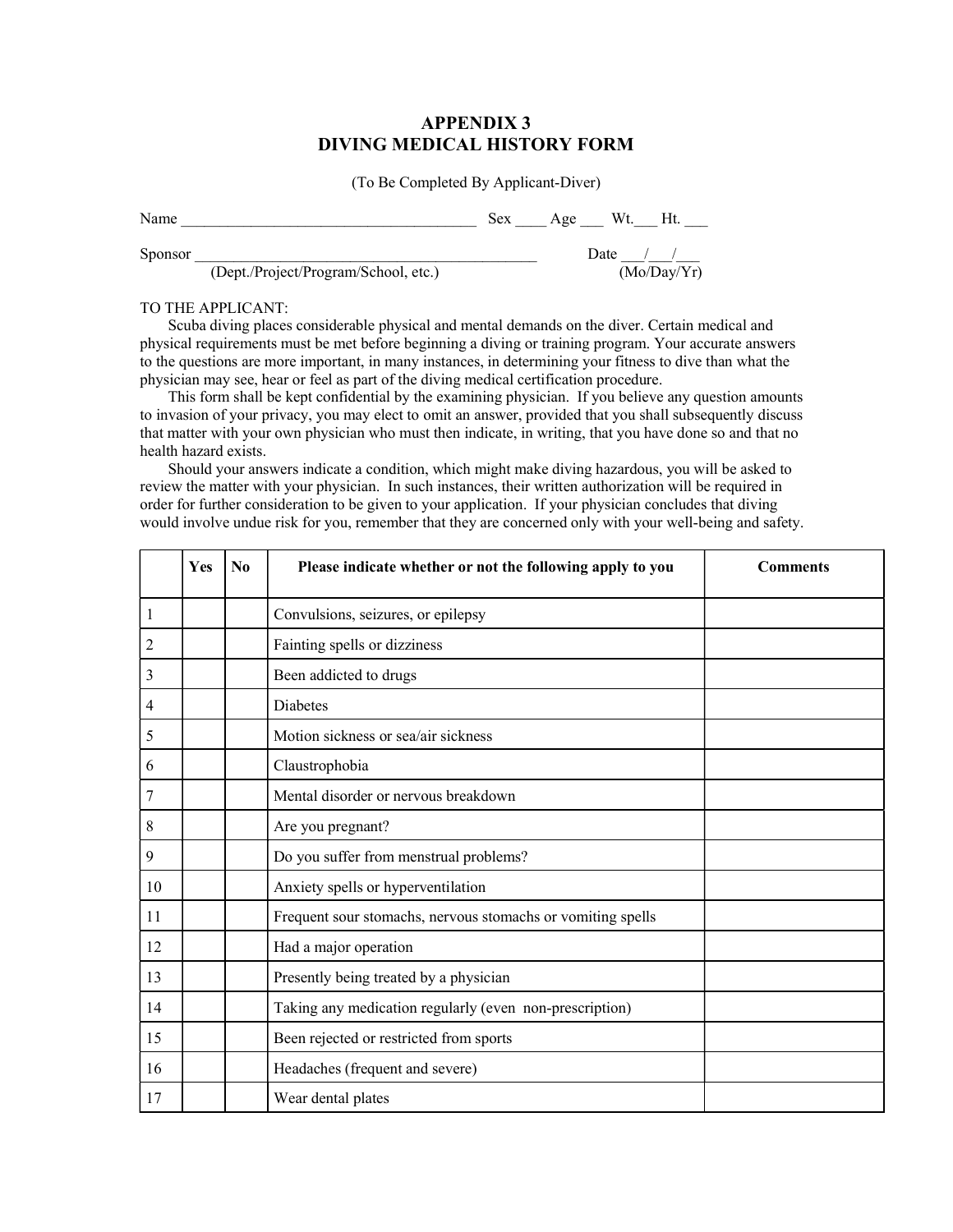### APPENDIX 3 DIVING MEDICAL HISTORY FORM

(To Be Completed By Applicant-Diver)

| Name         | Sex    | Age | Wt.<br>Ht.                                                                              |
|--------------|--------|-----|-----------------------------------------------------------------------------------------|
| Sponsor<br>. | $\sim$ |     | Date<br>the contract of the contract of the contract of the contract of the contract of |

(Dept./Project/Program/School, etc.) (Mo/Day/Yr)

#### TO THE APPLICANT:

 Scuba diving places considerable physical and mental demands on the diver. Certain medical and physical requirements must be met before beginning a diving or training program. Your accurate answers to the questions are more important, in many instances, in determining your fitness to dive than what the physician may see, hear or feel as part of the diving medical certification procedure.

 This form shall be kept confidential by the examining physician. If you believe any question amounts to invasion of your privacy, you may elect to omit an answer, provided that you shall subsequently discuss that matter with your own physician who must then indicate, in writing, that you have done so and that no health hazard exists.

 Should your answers indicate a condition, which might make diving hazardous, you will be asked to review the matter with your physician. In such instances, their written authorization will be required in order for further consideration to be given to your application. If your physician concludes that diving would involve undue risk for you, remember that they are concerned only with your well-being and safety.

|    | <b>Yes</b> | N <sub>0</sub> | Please indicate whether or not the following apply to you   | <b>Comments</b> |
|----|------------|----------------|-------------------------------------------------------------|-----------------|
| 1  |            |                | Convulsions, seizures, or epilepsy                          |                 |
| 2  |            |                | Fainting spells or dizziness                                |                 |
| 3  |            |                | Been addicted to drugs                                      |                 |
| 4  |            |                | Diabetes                                                    |                 |
| 5  |            |                | Motion sickness or sea/air sickness                         |                 |
| 6  |            |                | Claustrophobia                                              |                 |
| 7  |            |                | Mental disorder or nervous breakdown                        |                 |
| 8  |            |                | Are you pregnant?                                           |                 |
| 9  |            |                | Do you suffer from menstrual problems?                      |                 |
| 10 |            |                | Anxiety spells or hyperventilation                          |                 |
| 11 |            |                | Frequent sour stomachs, nervous stomachs or vomiting spells |                 |
| 12 |            |                | Had a major operation                                       |                 |
| 13 |            |                | Presently being treated by a physician                      |                 |
| 14 |            |                | Taking any medication regularly (even non-prescription)     |                 |
| 15 |            |                | Been rejected or restricted from sports                     |                 |
| 16 |            |                | Headaches (frequent and severe)                             |                 |
| 17 |            |                | Wear dental plates                                          |                 |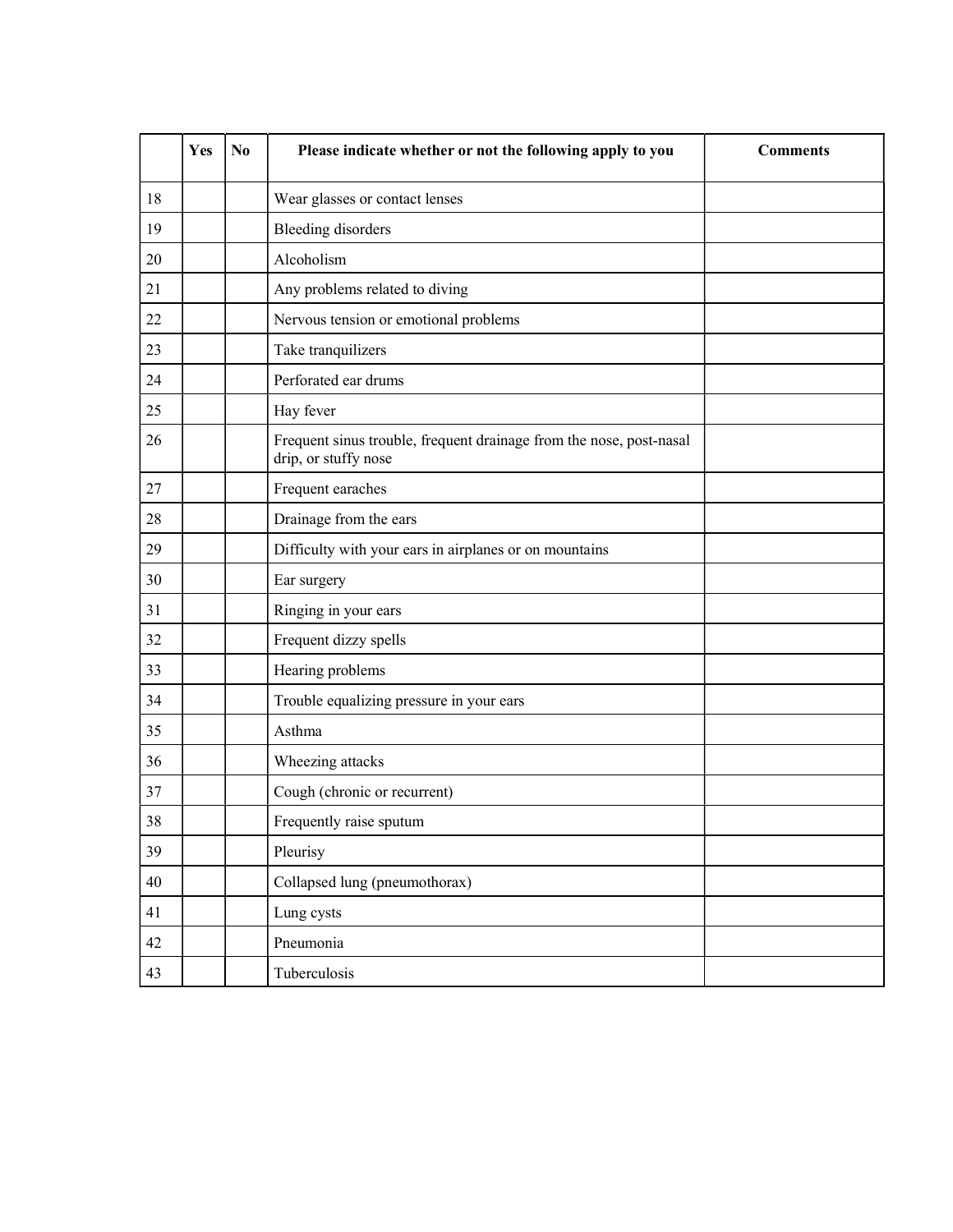|    | Yes | N <sub>0</sub> | Please indicate whether or not the following apply to you                                   | <b>Comments</b> |
|----|-----|----------------|---------------------------------------------------------------------------------------------|-----------------|
| 18 |     |                | Wear glasses or contact lenses                                                              |                 |
| 19 |     |                | <b>Bleeding disorders</b>                                                                   |                 |
| 20 |     |                | Alcoholism                                                                                  |                 |
| 21 |     |                | Any problems related to diving                                                              |                 |
| 22 |     |                | Nervous tension or emotional problems                                                       |                 |
| 23 |     |                | Take tranquilizers                                                                          |                 |
| 24 |     |                | Perforated ear drums                                                                        |                 |
| 25 |     |                | Hay fever                                                                                   |                 |
| 26 |     |                | Frequent sinus trouble, frequent drainage from the nose, post-nasal<br>drip, or stuffy nose |                 |
| 27 |     |                | Frequent earaches                                                                           |                 |
| 28 |     |                | Drainage from the ears                                                                      |                 |
| 29 |     |                | Difficulty with your ears in airplanes or on mountains                                      |                 |
| 30 |     |                | Ear surgery                                                                                 |                 |
| 31 |     |                | Ringing in your ears                                                                        |                 |
| 32 |     |                | Frequent dizzy spells                                                                       |                 |
| 33 |     |                | Hearing problems                                                                            |                 |
| 34 |     |                | Trouble equalizing pressure in your ears                                                    |                 |
| 35 |     |                | Asthma                                                                                      |                 |
| 36 |     |                | Wheezing attacks                                                                            |                 |
| 37 |     |                | Cough (chronic or recurrent)                                                                |                 |
| 38 |     |                | Frequently raise sputum                                                                     |                 |
| 39 |     |                | Pleurisy                                                                                    |                 |
| 40 |     |                | Collapsed lung (pneumothorax)                                                               |                 |
| 41 |     |                | Lung cysts                                                                                  |                 |
| 42 |     |                | Pneumonia                                                                                   |                 |
| 43 |     |                | Tuberculosis                                                                                |                 |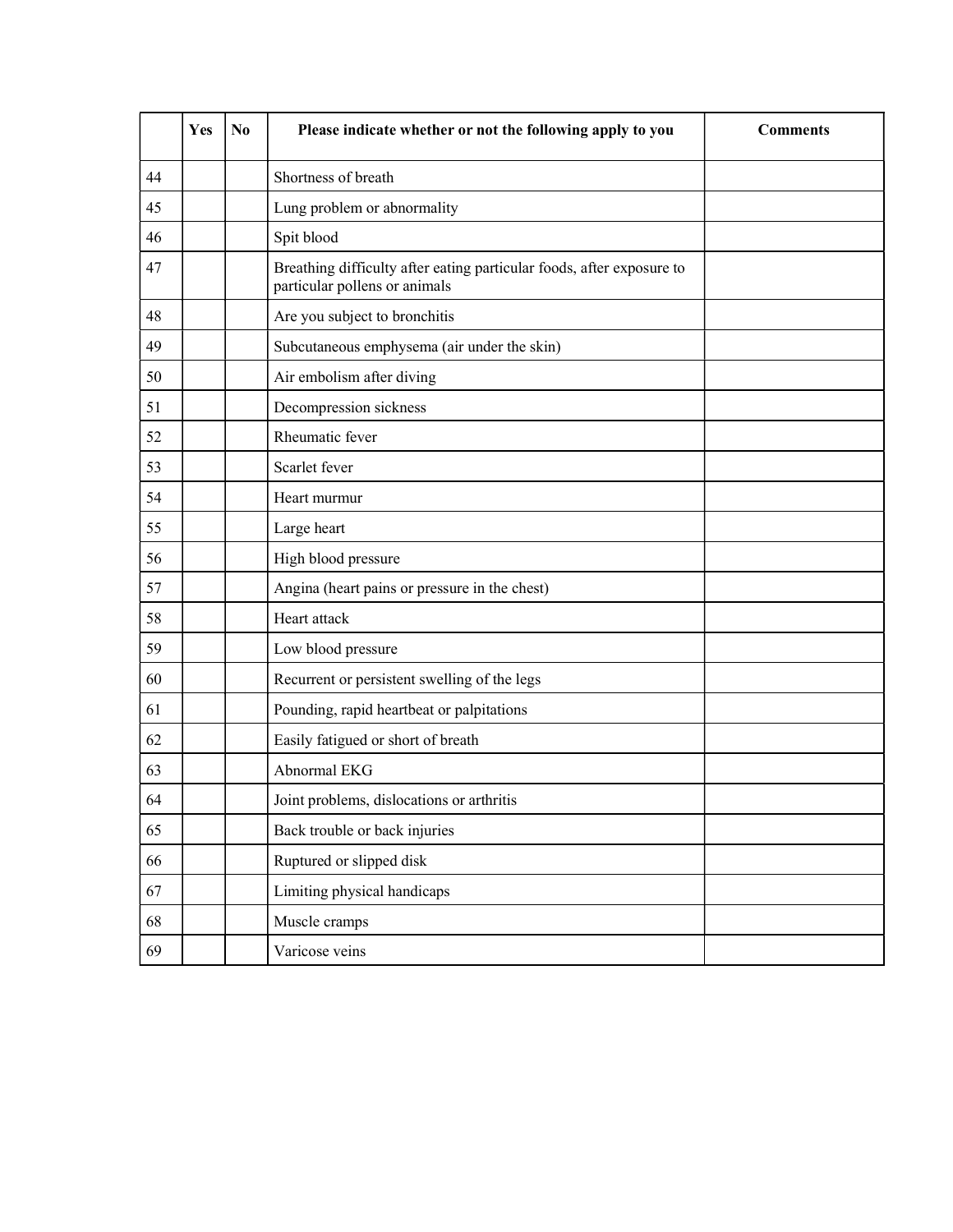|    | Yes | N <sub>0</sub> | Please indicate whether or not the following apply to you                                              | <b>Comments</b> |
|----|-----|----------------|--------------------------------------------------------------------------------------------------------|-----------------|
| 44 |     |                | Shortness of breath                                                                                    |                 |
| 45 |     |                | Lung problem or abnormality                                                                            |                 |
| 46 |     |                | Spit blood                                                                                             |                 |
| 47 |     |                | Breathing difficulty after eating particular foods, after exposure to<br>particular pollens or animals |                 |
| 48 |     |                | Are you subject to bronchitis                                                                          |                 |
| 49 |     |                | Subcutaneous emphysema (air under the skin)                                                            |                 |
| 50 |     |                | Air embolism after diving                                                                              |                 |
| 51 |     |                | Decompression sickness                                                                                 |                 |
| 52 |     |                | Rheumatic fever                                                                                        |                 |
| 53 |     |                | Scarlet fever                                                                                          |                 |
| 54 |     |                | Heart murmur                                                                                           |                 |
| 55 |     |                | Large heart                                                                                            |                 |
| 56 |     |                | High blood pressure                                                                                    |                 |
| 57 |     |                | Angina (heart pains or pressure in the chest)                                                          |                 |
| 58 |     |                | Heart attack                                                                                           |                 |
| 59 |     |                | Low blood pressure                                                                                     |                 |
| 60 |     |                | Recurrent or persistent swelling of the legs                                                           |                 |
| 61 |     |                | Pounding, rapid heartbeat or palpitations                                                              |                 |
| 62 |     |                | Easily fatigued or short of breath                                                                     |                 |
| 63 |     |                | Abnormal EKG                                                                                           |                 |
| 64 |     |                | Joint problems, dislocations or arthritis                                                              |                 |
| 65 |     |                | Back trouble or back injuries                                                                          |                 |
| 66 |     |                | Ruptured or slipped disk                                                                               |                 |
| 67 |     |                | Limiting physical handicaps                                                                            |                 |
| 68 |     |                | Muscle cramps                                                                                          |                 |
| 69 |     |                | Varicose veins                                                                                         |                 |